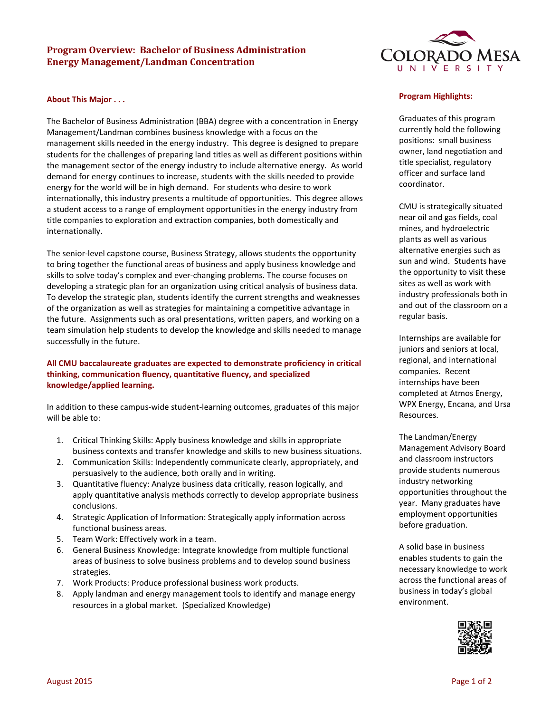## **Program Overview: Bachelor of Business Administration Energy Management/Landman Concentration**

### **About This Major . . .**

The Bachelor of Business Administration (BBA) degree with a concentration in Energy Management/Landman combines business knowledge with a focus on the management skills needed in the energy industry. This degree is designed to prepare students for the challenges of preparing land titles as well as different positions within the management sector of the energy industry to include alternative energy. As world demand for energy continues to increase, students with the skills needed to provide energy for the world will be in high demand. For students who desire to work internationally, this industry presents a multitude of opportunities. This degree allows a student access to a range of employment opportunities in the energy industry from title companies to exploration and extraction companies, both domestically and internationally.

The senior-level capstone course, Business Strategy, allows students the opportunity to bring together the functional areas of business and apply business knowledge and skills to solve today's complex and ever-changing problems. The course focuses on developing a strategic plan for an organization using critical analysis of business data. To develop the strategic plan, students identify the current strengths and weaknesses of the organization as well as strategies for maintaining a competitive advantage in the future. Assignments such as oral presentations, written papers, and working on a team simulation help students to develop the knowledge and skills needed to manage successfully in the future.

# **All CMU baccalaureate graduates are expected to demonstrate proficiency in critical thinking, communication fluency, quantitative fluency, and specialized knowledge/applied learning.**

In addition to these campus-wide student-learning outcomes, graduates of this major will be able to:

- 1. Critical Thinking Skills: Apply business knowledge and skills in appropriate business contexts and transfer knowledge and skills to new business situations.
- 2. Communication Skills: Independently communicate clearly, appropriately, and persuasively to the audience, both orally and in writing.
- 3. Quantitative fluency: Analyze business data critically, reason logically, and apply quantitative analysis methods correctly to develop appropriate business conclusions.
- 4. Strategic Application of Information: Strategically apply information across functional business areas.
- 5. Team Work: Effectively work in a team.
- 6. General Business Knowledge: Integrate knowledge from multiple functional areas of business to solve business problems and to develop sound business strategies.
- 7. Work Products: Produce professional business work products.
- 8. Apply landman and energy management tools to identify and manage energy resources in a global market. (Specialized Knowledge)



### **Program Highlights:**

Graduates of this program currently hold the following positions: small business owner, land negotiation and title specialist, regulatory officer and surface land coordinator.

CMU is strategically situated near oil and gas fields, coal mines, and hydroelectric plants as well as various alternative energies such as sun and wind. Students have the opportunity to visit these sites as well as work with industry professionals both in and out of the classroom on a regular basis.

Internships are available for juniors and seniors at local, regional, and international companies. Recent internships have been completed at Atmos Energy, WPX Energy, Encana, and Ursa Resources.

The Landman/Energy Management Advisory Board and classroom instructors provide students numerous industry networking opportunities throughout the year. Many graduates have employment opportunities before graduation.

A solid base in business enables students to gain the necessary knowledge to work across the functional areas of business in today's global environment.